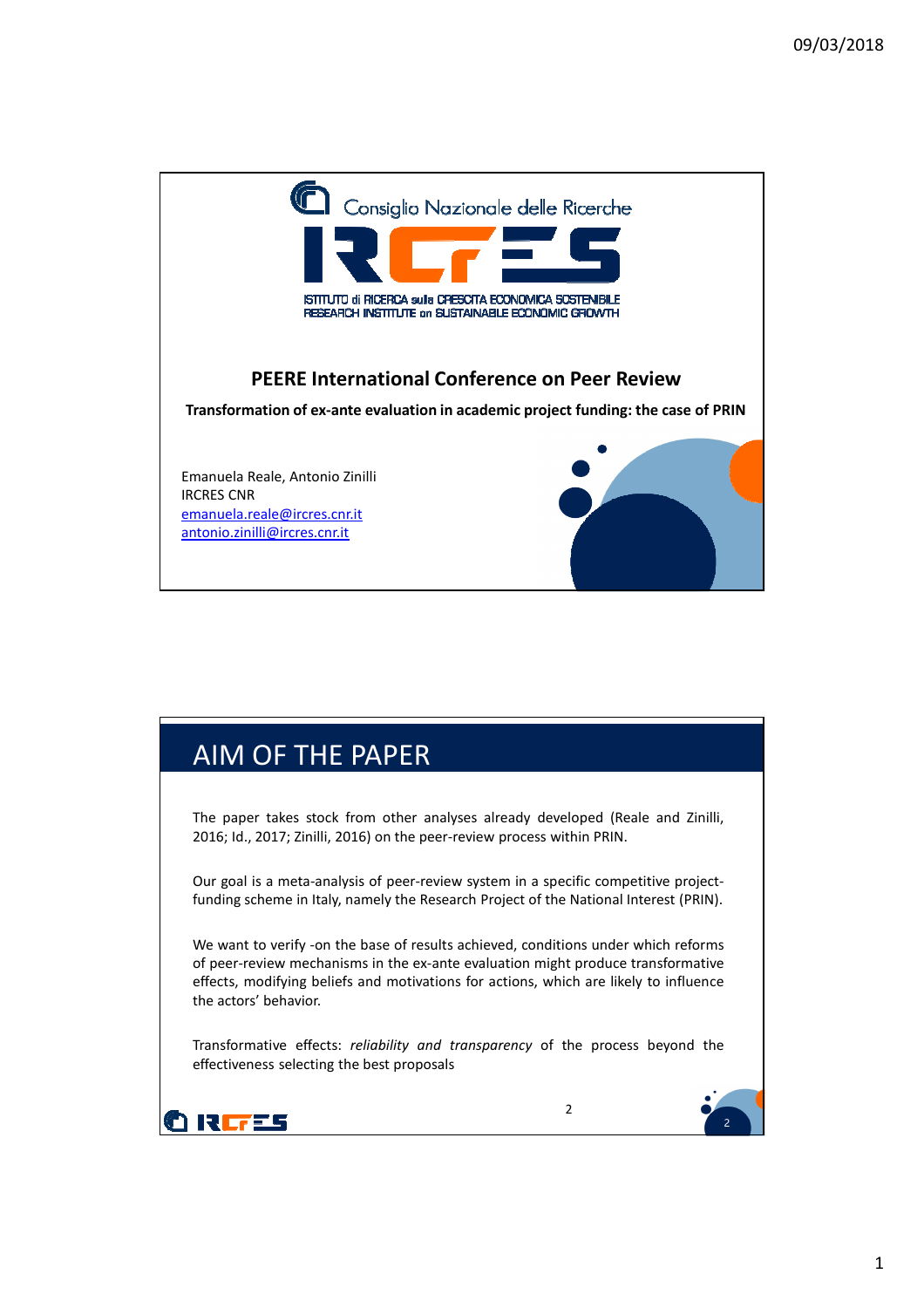

## AIM OF THE PAPER

The paper takes stock from other analyses already developed (Reale and Zinilli, 2016; Id., 2017; Zinilli, 2016) on the peer-review process within PRIN.

Our goal is a meta-analysis of peer-review system in a specific competitive projectfunding scheme in Italy, namely the Research Project of the National Interest (PRIN).

We want to verify -on the base of results achieved, conditions under which reforms of peer-review mechanisms in the ex-ante evaluation might produce transformative effects, modifying beliefs and motivations for actions, which are likely to influence the actors' behavior.

Transformative effects: *reliability and transparency* of the process beyond the effectiveness selecting the best proposals



2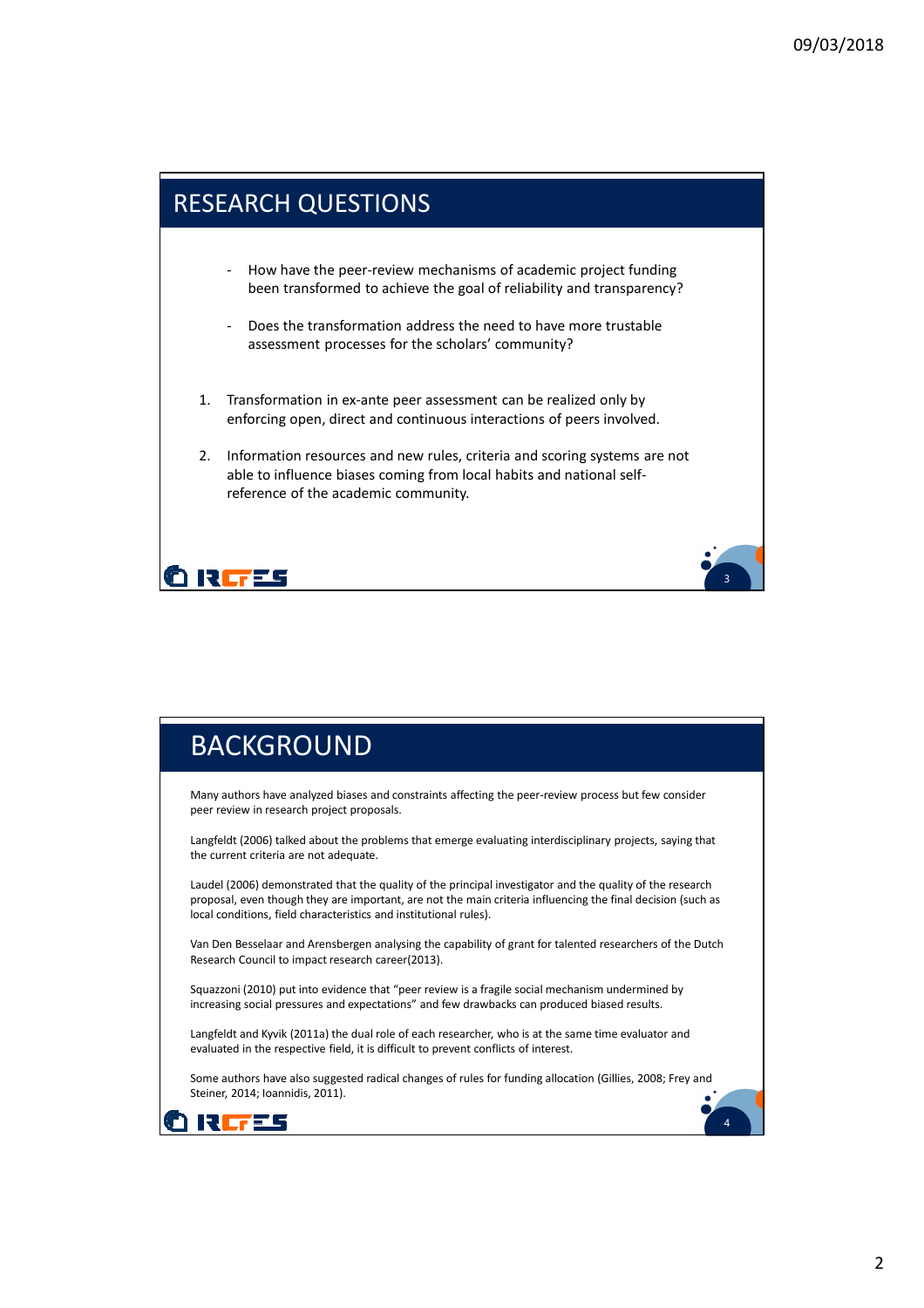

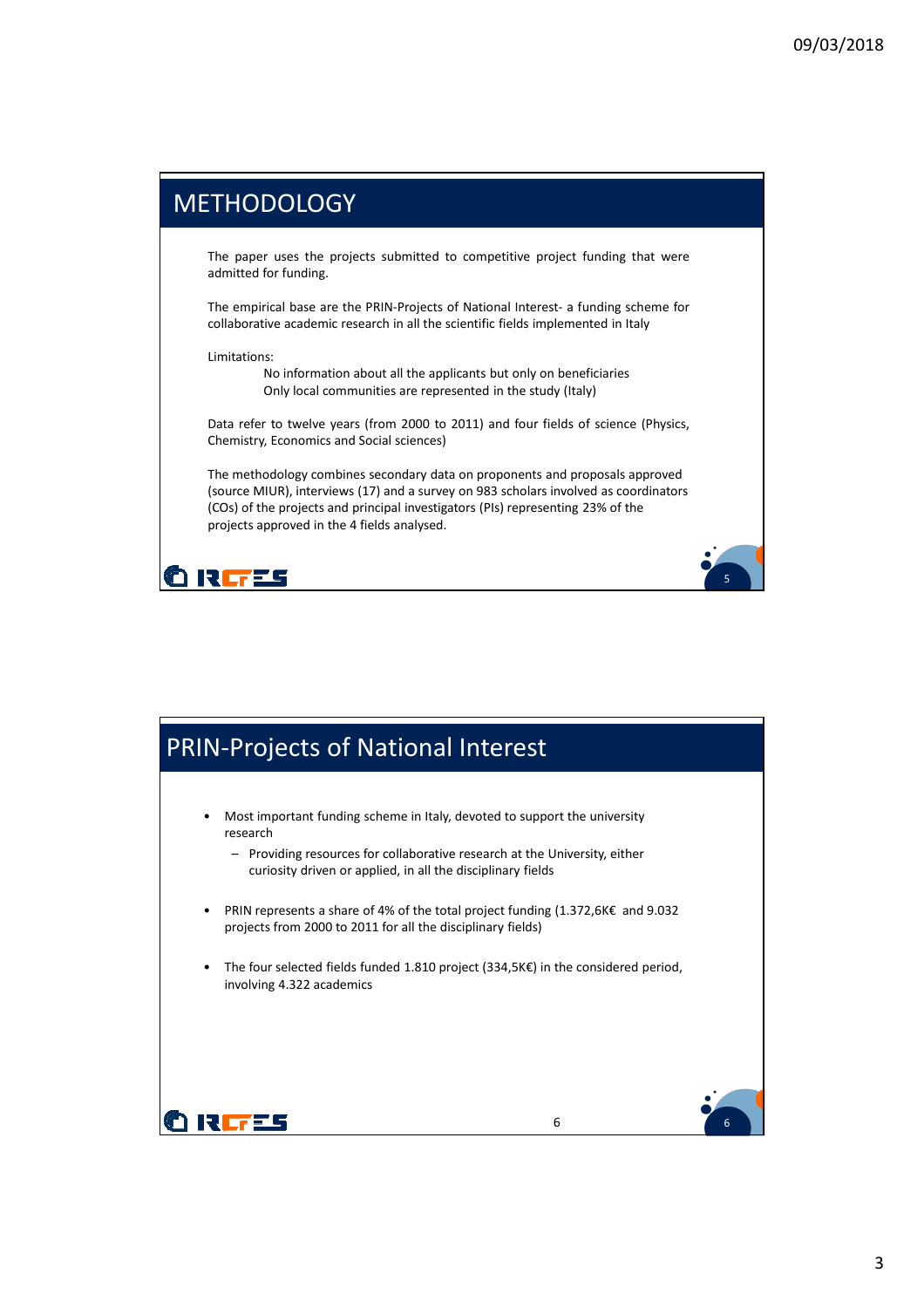<sup>5</sup> **<sup>5</sup>**<sup>5</sup>

## **METHODOLOGY**

The paper uses the projects submitted to competitive project funding that were admitted for funding.

The empirical base are the PRIN-Projects of National Interest- a funding scheme for collaborative academic research in all the scientific fields implemented in Italy

Limitations:

No information about all the applicants but only on beneficiaries Only local communities are represented in the study (Italy)

Data refer to twelve years (from 2000 to 2011) and four fields of science (Physics, Chemistry, Economics and Social sciences)

The methodology combines secondary data on proponents and proposals approved (source MIUR), interviews (17) and a survey on 983 scholars involved as coordinators (COs) of the projects and principal investigators (PIs) representing 23% of the projects approved in the 4 fields analysed.



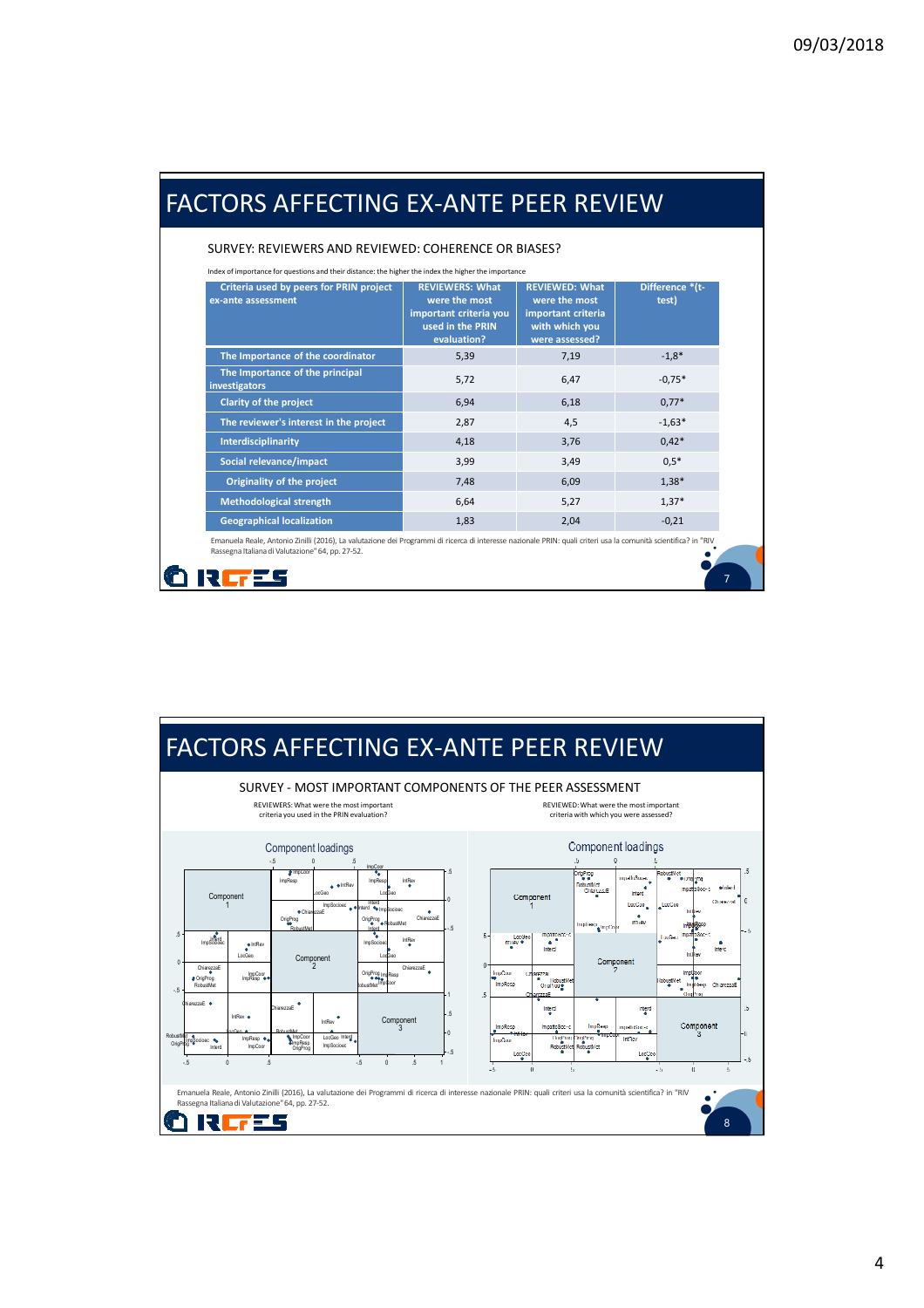| SURVEY: REVIEWERS AND REVIEWED: COHERENCE OR BIASES?                                                                                                                  |                                                                                                      |                                                                                                  |                                     |  |  |  |  |  |
|-----------------------------------------------------------------------------------------------------------------------------------------------------------------------|------------------------------------------------------------------------------------------------------|--------------------------------------------------------------------------------------------------|-------------------------------------|--|--|--|--|--|
| Index of importance for questions and their distance: the higher the index the higher the importance<br>Criteria used by peers for PRIN project<br>ex-ante assessment | <b>REVIEWERS: What</b><br>were the most<br>important criteria you<br>used in the PRIN<br>evaluation? | <b>REVIEWED: What</b><br>were the most<br>important criteria<br>with which you<br>were assessed? | Difference *(t-<br>test)<br>$-1,8*$ |  |  |  |  |  |
| The Importance of the coordinator                                                                                                                                     | 5,39                                                                                                 | 7,19                                                                                             |                                     |  |  |  |  |  |
| The Importance of the principal<br>investigators                                                                                                                      | 5,72                                                                                                 | 6,47                                                                                             | $-0.75*$                            |  |  |  |  |  |
| <b>Clarity of the project</b>                                                                                                                                         | 6,94                                                                                                 | 6,18                                                                                             | $0.77*$                             |  |  |  |  |  |
| The reviewer's interest in the project                                                                                                                                | 2.87                                                                                                 | 4,5                                                                                              | $-1,63*$                            |  |  |  |  |  |
| Interdisciplinarity                                                                                                                                                   | 4,18                                                                                                 | 3,76                                                                                             | $0,42*$                             |  |  |  |  |  |
| Social relevance/impact                                                                                                                                               | 3,99                                                                                                 | 3,49                                                                                             | $0.5*$                              |  |  |  |  |  |
| Originality of the project                                                                                                                                            | 7,48                                                                                                 | 6,09                                                                                             | $1,38*$                             |  |  |  |  |  |
| <b>Methodological strength</b>                                                                                                                                        | 6,64                                                                                                 | 5,27                                                                                             | $1,37*$                             |  |  |  |  |  |
| <b>Geographical localization</b>                                                                                                                                      | 1,83                                                                                                 | 2,04                                                                                             | $-0,21$                             |  |  |  |  |  |

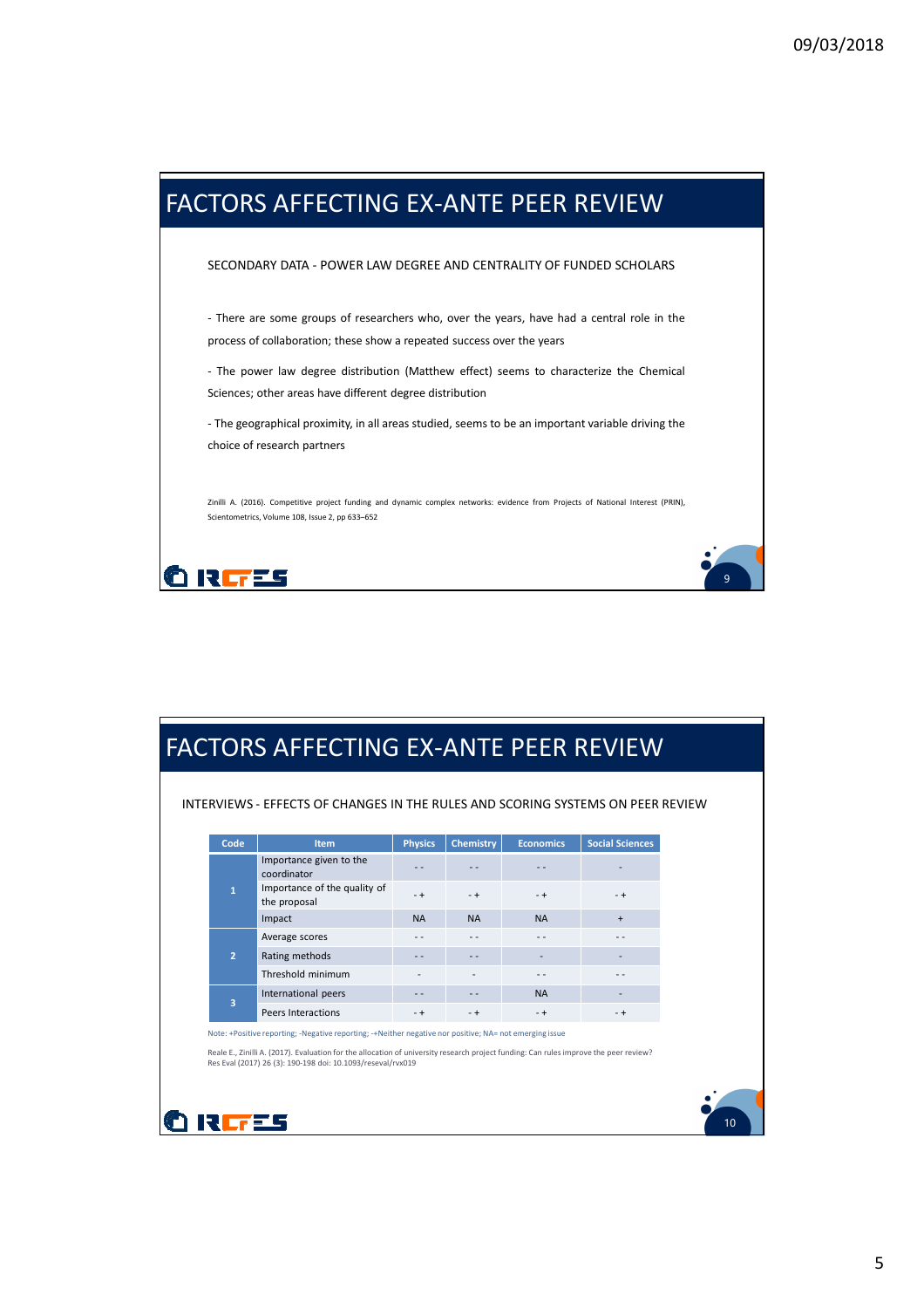

| Code           | <b>Item</b>                                                                                                                           | <b>Physics</b> | <b>Chemistry</b> | <b>Economics</b> | <b>Social Sciences</b>   |  |
|----------------|---------------------------------------------------------------------------------------------------------------------------------------|----------------|------------------|------------------|--------------------------|--|
|                | Importance given to the<br>coordinator                                                                                                | - -            |                  |                  |                          |  |
| $\overline{1}$ | Importance of the quality of<br>the proposal                                                                                          | $- +$          | $-+$             | $-+$             | $-+$                     |  |
|                | Impact                                                                                                                                | <b>NA</b>      | <b>NA</b>        | <b>NA</b>        | $+$                      |  |
|                | Average scores                                                                                                                        |                |                  | - -              |                          |  |
| $\overline{2}$ | Rating methods                                                                                                                        | $ -$           | $ -$             |                  |                          |  |
|                | Threshold minimum                                                                                                                     |                |                  | - -              |                          |  |
| 3              | International peers                                                                                                                   | $- -$          | $ -$             | <b>NA</b>        | $\overline{\phantom{a}}$ |  |
|                | Peers Interactions                                                                                                                    | $-+$           | $-+$             | $-+$             | $-+$                     |  |
|                | Note: +Positive reporting; -Negative reporting; -+Neither negative nor positive; NA= not emerging issue                               |                |                  |                  |                          |  |
|                | Reale E., Zinilli A. (2017). Evaluation for the allocation of university research project funding: Can rules improve the peer review? |                |                  |                  |                          |  |